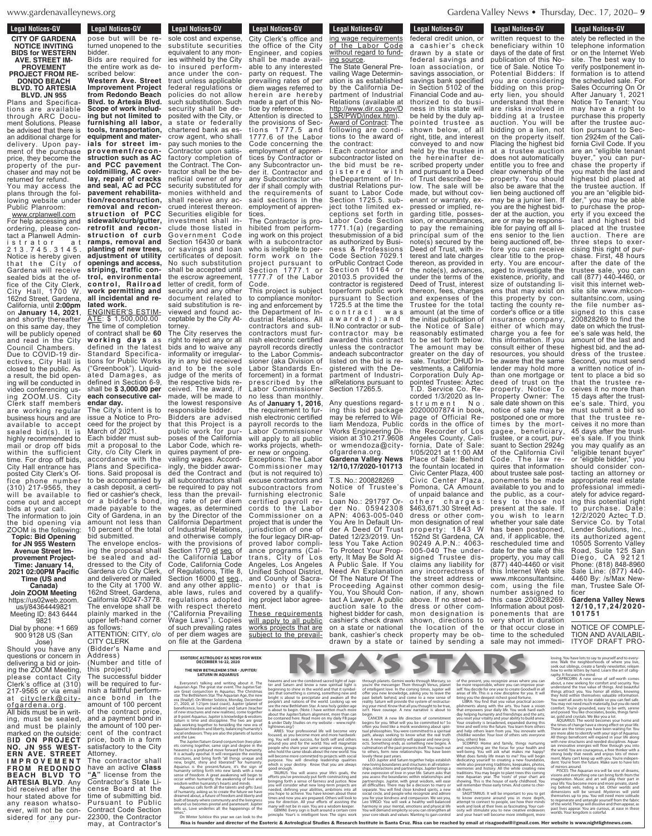# **Legal Notices-GV CITY OF GARDENA NOTICE INVITING BIDS for WESTERN**

**AVE. STREET IM-PROVEMENT PROJECT FROM RE-DONDO BEACH**

**BLVD. TO ARTESIA BLVD. JN 955**

Plans and Specifications are available through ARC Document Solutions. Please be advised that there is an additional charge for delivery. Upon payment of the purchase price, they become the property of the purchaser and may not be returned for refund.

You may access the plans through the following website under Public Planroom:

www.crplanwell.com For help accessing and ordering, please contact a Planwell Administrator at 2 1 3 . 7 4 5 . 3 1 4 5 . Notice is hereby given that the City of Gardena will receive sealed bids at the office of the City Clerk, City Hall, 1700 W. 162nd Street, Gardena, California, until **2:00pm** on **January 14, 2021**, and shortly thereafter on this same day, they will be publicly opened and read in the City Council Chambers. Due to COVID-19 directives, City Hall is closed to the public. As a result, the bid opening will be conducted in video conferencing using ZOOM.US. City Clerk staff members are working regular business hours and are available to accept sealed bid(s). It is highly recommended to mail or drop off bids within the sufficient time. For drop off bids, City Hall entrance has posted City Clerk's Office phone number (310) 217-9565, they will be available to come out and accept

bids at your call. The information to join the bid opening via ZOOM is the following:

**Topic: Bid Opening for JN 955 Western Avenue Street Improvement Project-Time: January 14, 2021 02:00PM Pacific**

**Time (US and Canada)**

**Join ZOOM Meeting** https://us02web.zoom. us/j/84364449821 Meeting ID: 843 6444

9821 Dial by phone: +1 669 900 9128 US (San Jose)

Should you have any questions or concern in delivering a bid or joining the ZOOM Meeting, please contact City Clerk's office at (310) 217-9565 or via email at cityclerk@city-<u>ofgardena.org</u>.

All bids must be in writing, must be sealed,<br>and must be plainly marked on the outside: B**ID ON PROJECT NO. JN 955 WEST-ERN AVE. STREET I M P R O V E M E N T F R O M R E D O N D O BEACH BLVD TO ARTESIA BLVD**. Any bid received after the hour stated above for any reason whatso-<br>ever, will not be considered for any pur-

pose but will be re-

**Legal Notices-GV Legal Nutries-GV** pose but will be returned unopened to the bidder. Bids are required for

the entire work as described below: **Western Ave. Street Improvement Project**

**from Redondo Beach Blvd. to Artesia Blvd. Scope of work including but not limited to furnishing all labor, tools, transportation, equipment and materials for street improvement/reconstruction such as AC and PCC pavement coldmilling, AC overlay, repair of cracks and seal, AC ad PCC pavement rehabilitation/reconstruction, removal and reconstruction of PCC sidewalk/curb/gutter, retrofit and reconstruction of curb ramps, removal and planting of new trees, adjustment of utility openings and access, striping, traffic control, environmental control, Railroad work permitting and all incidental and related work.** ENGINEER'S ESTIM-

<u>ATE</u>: \$ 1,500,000.00 The time of completion of contract shall be **60 wor k ing da y s** a s defined in the latest Standard Specifications for Public Works ("Greenbook"). Liquidated Damages, as<br>defined in Section 6-9, defined in Section 6-9, shall be **\$ 3,000.00 per each consecutive calendar day.**

The City's intent is to issue a Notice to Proceed for the project by March of 2021. Each bidder must submit a proposal to the

City, c/o City Clerk in accordance with the Plans and Specifications. Said proposal is to be accompanied by a cash deposit, a certified or cashier's check, or a bidder's bond, made payable to the City of Gardena, in an amount not less than 10 percent of the total bid submitted.

The envelope enclosing the proposal shall be sealed and addressed to the City of Gardena c/o City Clerk, and delivered or mailed to the City at 1700 W. 162nd Street, Gardena, California 90247-3778. The envelope shall be plainly marked in the upper left-hand corner as follows:

ATTENTION: CITY, c/o CITY CLERK

(Bidder's Name and Address) (Number and title of this project) The successful bidder

will be required to furnish a faithful performance bond in the amount of 100 percent of the contract price, and a payment bond in the amount of 100 percent of the contract price, both in a form satisfactory to the City Attorney.

The contractor shall have an active **Class** license from the Contractor's State License Board at the time of submitting bid.<br>Pursuant to Public **Contract Code Section** 22300, the Contractor may, at Contractor's

sole cost and expense,

**2230** Legal Notices-GV Legal Notices-GV sole cost and expense,

substitute securities equivalent to any monies withheld by the City to insured performance under the contract unless applicable federal regulations or policies do not allow such substitution. Such security shall be deposited with the City, or a state or federally chartered bank as escrow agent, who shall pay such monies to the Contractor upon satisfactory completion of the Contract. The Contractor shall be the beneficial owner of any security substituted for monies withheld and shall receive any accrued interest thereon. Securities eligible for investment shall include those listed in Government Code Section 16430 or bank or savings and loan certificates of deposit. No such substitution shall be accepted until the escrow agreement, letter of credit, form of security and any other document related to said substitution is reviewed and found acceptable by the City At-

torney. The City reserves the right to reject any or all bids and to waive any informality or irregularity in any bid received and to be the sole judge of the merits of the respective bids received. The award, if made, will be made to the lowest responsive<br>responsible bidder. responsible bidder.<br>Bidders are advised that this Project is a

public work for purposes of the California Labor Code, which requires payment of prevailing wages. Accordingly, the bidder awarded the Contract and all subcontractors shall be required to pay not less than the prevailing rate of per diem wages, as determined by the Director of the California Department of Industrial Relations, and otherwise comply with the provisions of Section 1770 <u>et seq</u>. of the California Labor Code, California Code of Regulations, Title 8, Section 16000 et seq., and any other applicable laws, rules and regulations adopted with respect thereto ("California Prevailing Wage Laws"). Copies of such prevailing rates of per diem wages are on file at the Gardena

City Clerk's office and **ESOTERIC ASTROLOGY AS NEWS** ESOTERIC ASTROLOGY AS NEWS FOR WEEK<br>DECEMBER 16-22, 2020 THE NEW BETHLEHEM STAR - J **THE NEW BETHLEHEM STAR - JUPITER/**<br>SATURN IN AQUARIUS<br>Any of the state of the seminary of the Labor Code ESOTERIC ASTROLOGY AS NEWS FOR WEEK<br>DECEMBER 16-22, 2020

Everyone's talking and writing at urn Great conjunction in Aquarius. The star. The Bethlehem Star. The Aquarian A<br>era (finally!). On Winter Solstice, Monday 21, 2020, at 1:21pm (east coast), Jupite<br>heneficence love and wisdom) and Sat of new structures and new realities), cor at 0-point Aquarius. Jupiter is<br>Saturn is time and discippli pals working together to heralding the<br>Aquarian freedom and liberty balancing social endeavors. They are also the plane it. The the intervents and see the combined<br>iter/Sat. ter and Saturn and know a ne iter/backbook.html<br>Inistmas beginning to shine in the world.<br>Inistmas bizes that something is coming. the new bright is about to precipitate<br>cember poople's and patience of the we lanet of people's and nations of the world. http://www.is-about-to-begin. (Note: I have<br>ogether about-the-Jupiter/Saturn alignn wisdom.<br>The contained here. Read more than the contained here. Read more following are an ARIES: Your professional life<br>following are connected, as you become more a Everyone's talking and writing about it. The Aquarian Age. The great star event. The Jupiter/Saturn Great conjunction in Aquarius. The Christmas star. The Bethlehem Star. The Aquarian Age, the new era (finally!). On Winter Solstice, Monday, December 21, 2020, at 1:21pm (east coast), Jupiter (planet of beneficence, love and wisdom) and Saturn (teacher of new structures and new realities), come together at 0-point Aquarius. Jupiter is knowledge & wisdom. Saturn is time and discippline. The two are great pals working together to heralding the new era of Aquarian freedom and liberty, balancing humanity's social endeavors. They are also the planets of Justice

and the Law.<br>The Jupiter/Saturn Grand conjunctio ets coming together, same sign and degree in the heavens) is a profound move forward for humanity. It is actually epochal. It will reorganize It is actually epochal. It will reorganize the existing<br>structures, and bring forth "all things unique and<br>new, bright, shiny and liberated" for humanity. Aquarius is the present/future, it's the sign of<br>humanity setting forth into new lands with a new sense of freedom. A great awakening will begin to occur within humanity, the awakening of love and occur within numanity, the awakening<br>wisdom within humanity's hearts and m Aquarius calls forth all the talents and gifts (Leo)<br>of humanity, asking us to create the future we have<br>dreamed about, a future of freedom and liberty and<br>bight and liberty and built of beauty where community and transported to a require tells us, Love underlies all the happer<br>times." the volume in the Wolf Seek success, for the world e in the around you an I.Ea. I.E. who hold the same ideals about<br>existing will become more committed to lue and purpose. You will develop ly<br>imanity, which is your destiny. Know t sign of which is your destiny. Know the refts (Leo)<br>
needed, defining your abilities, ambitions into all<br>
you hope to achieve. You have known about these serval to you hope to achieve. You have<br>erty and times and now you are prepared Ingness<br>Jupiter you for direction. All your efforts of assisting the<br>Lefathe many will not be in vain. You are a wisdom keeper. s of the limit of GEMINI: Every sign is built at and the Law. The Jupiter/Saturn Grand conjunction (two planhumanity setting forth into new lands with a new wisdom within humanity's hearts and minds. Aquarius calls forth all the talents and gifts (Leo) built of beauty where community and the livingness around us becomes pivotal and paramount. Jupiter tells us, Love underlies all the happenings of the

On Winter Solstice this year we can The United Solstice this year we can look to the United States is intelligent in Risa is founder and director of the Esoteric & Astrological Student the Esoteric & Astrological Stud times."

iging forth a sense<br>I will consider what

good enough.

der Daily Studies ARIES

**Legal Notices-GV** Legal Nutles-GV

diem wages referred to herein are hereby made a part of this Notice by reference. Attention is directed to the provisions of Sections 1777.5 and 1777.6 of the Labor Code concerning the employment of apprentices by Contractor or any Subcontractor under it. Contractor and any Subcontractor under if shall comply with the requirements of said sections in the employment of appren-

The Contractor is prohibited from performing work on this project with a subcontractor who is ineligible to perform work on the project pursuant to Sec tion 1777.1 or 1777.7 of the Labor

This project is subject to compliance monitoring and enforcement by the Department of Industrial Relations. All contractors and subcontractors must furnish electronic certified payroll records directly to the Labor Commissioner (aka Division of Labor Standards Enforcement) in a format prescribed by the Labor Commissioner no less than monthly. As of **January 1, 2016**, the requirement to furnish electronic certified payroll records to the Labor Commissioner will apply to all public works projects, whether new or ongoing. Exceptions: The Labor Commissioner may (but is not required to) excuse contractors and subcontractors from furnishing electronic certified payroll records to the Labor Commissioner on a project that is under the jurisdiction of one of the four legacy DIR-approved labor compliance programs (Caltrans, City of Los Angeles, Los Angeles Unified School District, and County of Sacramento) or that is covered by a qualifying project labor agreement.<br><u>These requirements</u> will apply to all public works projects that are subject to the prevailing wage requirements

tices.

Code.

City Clerk's office and the office of the City Engineer, and copies shall be made available to any interested party on request. The prevailing rates of per **Legal Notices-GV** Legal Nutres-GV ing wage requirements of the Labor Code without regard to funding source. The State General Prevailing Wage Determin-

ation is as established by the California Department of Industrial Relations (available at http://www.dir.ca.gov/D LSR/PWD/index.htm). Award of Contract: The following are conditions to the award of the contract:

I.Each contractor and subcontractor listed on the bid must be reg i s t e r e d theDepartment of Industrial Relations pursuant to Labor Code Section 1725.5. subject tothe limited exceptions set forth in Labor Code Section 1771.1(a) (regarding thesubmission of a bid as authorized by Business & Professions Code Section 7029.1 orPublic Contract Code Section 10164 or 20103.5 provided the contractor is registered toperform public work pursuant to Section 1725.5 at the time the c o n t r a c t w a s a w a r d e d ) : a n d II.No contractor or subcontractor may be awarded this contract unless the contractor andeach subcontractor listed on the bid is registered with the Department of IndustrialRelations pursuant to Section 17265.5.

Any questions regarding this bid package may be referred to William Mendoza, Public Works Engineering Division at 310.217.9608 or wmendoza@cityofgardena.org.

**Gardena Valley News 12/10,17/2020-101713**

T.S. No.: 200828269 Notice of Trustee's Sale

Loan No.: 291797 Order No. 05942308 APN: 4063-005-040 You Are In Default Under A Deed Of Trust Dated 12/23/2019. Unless You Take Action To Protect Your Property, It May Be Sold At A Public Sale. If You Need An Explanation Of The Nature Of The Proceeding Against You, You Should Contact A Lawyer. A public auction sale to the highest bidder for cash, cashier's check drawn on a state or national bank, cashier's check drawn by a state or

federal credit union, or a cashier' s chec king

& Research Institute in Santa C

ness in this state will be held by the duly appointed trustee as shown below, of all right, title, and interest conveyed to and now held by the trustee in the hereinafter described property under and pursuant to a Deed of Trust described below. The sale will be made, but without covenant or warranty, expressed or implied, regarding title, possession, or encumbrances, to pay the remaining principal sum of the note(s) secured by the Deed of Trust, with interest and late charges thereon, as provided in the note(s), advances, under the terms of the Deed of Trust, interest thereon, fees, charges and expenses of the Trustee for the total amount (at the time of the initial publication of the Notice of Sale) reasonably estimated to be set forth below. The amount may be greater on the day of sale. Trustor: DHUD Investments, a California Corporation Duly Appointed Trustee: Aztec T.D. Service Co. Recorded 1/3/2020 as Instrument No. 20200007874 in book, page of Official Records in the office of the Recorder of Los Angeles County, California, Date of Sale: 1/05/2021 at 11:00 AM Place of Sale: Behind the fountain located in Civic Center Plaza, 400 Civic Center Plaza, Pomona, CA Amount of unpaid balance and o ther charges: \$463,671.30 Street Address or other common designation of real property: 1843 W 152nd St Gardena, CA 90249 A.P.N.: 4063- 005-040 The undersigned Trustee disclaims any liability for any incorrectness of the street address or other common designation, if any, shown above. If no street address or other com-mon designation is shown, directions to the location of the property may be ob-

www.gardenavalleynews.org extending the state of the cashier of Gardena Valley News • Thursday, Dec. 17, 2020– 9  $rac{1}{2}$ llev News • Thurso Iley News • Thursday, Dec.  $17$ ,  $2020 - 9$  $(1)$   $\frac{1}{2}$   $\frac{1}{2}$   $\frac{1}{2}$   $\frac{1}{2}$   $\frac{1}{2}$   $\frac{1}{2}$   $\frac{1}{2}$   $\frac{1}{2}$   $\frac{1}{2}$   $\frac{1}{2}$   $\frac{1}{2}$   $\frac{1}{2}$   $\frac{1}{2}$   $\frac{1}{2}$   $\frac{1}{2}$   $\frac{1}{2}$   $\frac{1}{2}$   $\frac{1}{2}$   $\frac{1}{2}$   $\frac{1}{2}$   $\frac{1}{2}$   $\frac{1$ 

**Legal Notices-GV** Legal Nutres-GV federal credit union, or a cashier's check drawn by a state or federal savings and loan association, or savings association, or savings bank specified in Section 5102 of the Financial Code and authorized to do busi-**Legal Notices-GV Legal Nutices-GV** written request to the<br>beneficiary within 10 days of the date of first publication of this Notice of Sale. Notice To Potential Bidders: If you are considering bidding on this property lien, you should understand that there are risks involved in bidding at a trustee auction. You will be bidding on a lien, not on the property itself. Placing the highest bid at a trustee auction does not automatically entitle you to free and clear ownership of the property. You should also be aware that the lien being auctioned off may be a junior lien. If you are the highest bidder at the auction, you are or may be responsible for paying off all liens senior to the lien being auctioned off, before you can receive clear title to the property. You are encouraged to investigate the existence, priority, and size of outstanding liens that may exist on this property by contacting the county recorder's office or a title insurance company, either of which may charge you a fee for this information. If you consult either of these resources, you should be aware that the same lender may hold more than one mortgage or deed of trust on the property. Notice To Property Owner: The sale date shown on this notice of sale may be ostponed one or more postponed one of the mort-<br>times by the mortgagee, beneficiary, trustee, or a court, pursuant to Section 2924g of the California Civil Code. The law requires that information about trustee sale postponements be made available to you and to the public, as a courtesy to those not present at the sale. If you wish to learn whether your sale date has been postponed, and, if applicable, the rescheduled time and date for the sale of this property, you may call (877) 440-4460 or visit this Internet Web site www.mkconsultantsinc. com, using the file number assigned to this case 200828269. Information about post-ponements that are very short in duration or that occur close in

ately be reflected in the telephone information or on the Internet Web formation is to attend the scheduled sale. For Sales Occurring On Or After January 1, 2021 Notice To Tenant: You may have a right to purchase this property after the trustee auction pursuant to Section 2924m of the California Civil Code. If you are an "eligible tenant buyer," you can purchase the property if you match the last and highest bid placed at the trustee auction. If you are an "eligible bidder," you may be able to purchase the property if you exceed the last and highest bid placed at the trustee auction. There are three steps to exercising this right of purchase. First, 48 hours after the date of the trustee sale, you can call (877) 440-4460, or visit this internet website site www.mkconsultantsinc.com, using the file number assigned to this case 200828269 to find the date on which the trustee's sale was held, the amount of the last and highest bid, and the address of the trustee. Second, you must send a written notice of intent to place a bid so that the trustee receives it no more than 15 days after the trustee's sale. Third, you must submit a bid so that the trustee receives it no more than 45 days after the trustee's sale. If you think you may qualify as an "eligible tenant buyer" or "eligible bidder," you should consider contacting an attorney or appropriate real estate professional immediately for advice regarding this potential right to purchase. Date: 12/2/2020 Aztec T.D. Service Co. by Total Lender Solutions, Inc., its authorized agent 10505 Sorrento Valley Road, Suite 125 San<br>Diego, CA 92121 Diego, CA 92121 Phone: (818) 848-8960 Sale Line: (877) 440- 4460 By: /s/Max Newman, Trustee Sale Officer

**Gardena Valley News 1 2 / 1 0 , 1 7 , 2 4 / 2 0 2 0 - 1 0 1 7 5 1**

NOTICE OF COMPLE-TION AND AVAILABIL-ITYOF DRAFT PRO-

ave lots to say to yourself and to every- $\frac{1}{2}$  he neighborhoods of where you live, ings, create a larmly newsletter, releasingloving. You have lots to say to yourself and to every-one. Walk the neighborhoods of where you live, seek out siblings, create a family newsletter, relearn how to write letters by hand. Learn the art of callig-

 $\alpha$  seeking for comfort and security. You about, a new seeking for comfort and security. You<br>understand the true value of things. And beautiful<br>things attract you. You honor all elders, knowing they hold within themselves valuable information.<br>You want all assets to be stable so you can feel safe.  $\frac{1}{2}$  meed much materially, but you do need Not like chocolates, books, things familthey hold within themselves valuable information. You may not need much materially, but you do need comfort. You're grounded, easy to be with, serene and poised. You like chocolates, books, things familiar, gold and crystals. We like you a lot.

1 crystals. We like you a lot.<br>JS: The world becomes your home and change have a strong effect on your life.<br>Je times vou have been waiting for You Le to identify with your sign of Aquarius. eneficent will expand in your life along<br>ructures and needed disciplines. Aquarve energies will flow through you into<br>ou are courageous a free thinker with a  $y$  that needs and enjoys lots of movement. Many can't keep up with you. You're indepen-<br>dent. You're from the future. Make sure to have lots AQUARIUS: The world becomes your home and the times of change have a strong effect on your life. These are the times you have been waiting for. You are more able to identify with your sign of Aquarius. All things beneficent will expand in your life along with new structures and needed disciplines. Aquarian innovative energies will flow through you into the world. You are courageous, a free thinker with a strong body that needs and enjoys lots of move-

nirrors around.<br>PISCES: The Aquarian era will be one of dreams, everything one can bring forth from the . Music and art will play their part in<br>I become more and more private, standveils, hiding a bit. Other worlds and<br>will be sensed. Mysteries will vield up to you. You will need more solitude Le and untangle yourself from the fabric<br>Things will dissolve and then appear, as ppear. You are curious, at ease in these all and the poperty and the set of the set of the set of the set of t<br>International is colorful. visions and everything one can bring forth from the imagination. Music and art will play their part in your life. You become more and more private, standing behind veils, hiding a bit. Other worlds and dimensions will be sensed. Mysteries will yield themselves up to you. You will need more solitude to regenerate and untangle yourself from the fabric of the world. Things will dissolve and then appear, as past lives appear. You are curious, at ease in these

and the County Environment and the County Environment and the County Environment and the County Environment and s www.nightlightnews.com. worlds. Your kingdom is colorful. Risa is founder and director of the Esoteric & Astrological Studies & Research Institute in Santa Cruz. Risa can be reached by email at risagoodwill@gmail.com. Her website is www.nightlightnews.com.

values of the combined drawn by a state or federal savings and heavens and see the combined sacred light of Jupi- through planets. Gemin<br>ter and Saturn and know a new spiritual light is you're the messenger. The beginning to shine in the world and<br>beginning to shine in the world and t ed light of Jupi- through planets. Germin<br>spiritual light is you're the messenger. 1 l that it symbol- of intelligent love. In th<br>ething new and offer vou new knowled awaken all the past beliefs behind, an Looking up we Freality. Saturn will provi<br>holy golden age Fing your mind. Know the days of the date of first izes that something is coming, something new and<br>bright is about to precipitate and awaken all the<br>people's and nations of the world. Looking up we<br>see the new Bethlehem Star. A new holy golden age<br>is about to begin. (Note and see the combined sacred light of Jupi-<br>through planets. Gemini works through Mercury, so of the present, you recognize areas where

we era of a under Daily Studies on my website – www.night-<br>manity's lightnews.org/) often you lived like a m ARIES: Your professional life will become very tual philosophies. You w<br>used, as you become more and more hardwork- path, always seeking to self and others was. A new social identity and the selfrefluence the solid entity ends, and interests of the past focused, as you become more and more hardwork-<br>ing. You will seek success, for both self and others<br>around you and for the world. You will magnetize<br>people who share your same unique views, groups<br>who hold the same ideals will become more committed to projects with social bed to? So often you lived like a monk wondering about spiriwas. A new social identity will appear and new proj-

TAURUS: You will assess your life's goals, the new expression of love<br>regin to efforts you've previously put forth constructing and you assess the boundar in the qualities LEO: Jupiter and Sat you are always in the hoving boundaries and structures in all elation-<br>ships, interactions and partnerships. Jupiter brings a efforts you've previously put forth constructing and you assess the boundar<br>bringing forth a sense of fairness and justice. Now yartnerships. Jupiter, w<br>you will consider what new long-term projects are all difficulties. T of the two two all the separate. You will find wn about these social circle, and people<br>hers will look to you for your kindness a made, but without covexample of a certain core You will demand simplic The signs work your core ideals and value wanting to gain control than your heart es.<br>On Winter Solstice this year we can look to the principle. Your's is intelligent love. The signs work your core<br>**Risa is founder and director of the Esoteric & Astrological Studies & Research Institute in Santa Cruz. R** purpose. You will develop leadership qualities which is your destiny. Know that you are always times and now you are prepared. Others will look to you for direction. All your efforts of assisting the GEMINI: Every sign is built around a certain core LEO: Jupiter and Saturn together helps establish new loving boundaries and structures in all relation-ships, interactions and partnerships. Jupiter brings a new expression of love in your life. Saturn asks that you assess the boundaries within relationships and social circle, and people who recognize and admire you for your kindness and compassion. We see you, Leo VIRGO: You will seek a healthy well-balanced harmony in your mental, emotions and physical life You will demand simplicity so you can strengthen all

ten much more e isn't. Have courage. A<br>, more than can e begin. through planets. Gemini works through Mercury, so<br>you're the messenger. Then through Venus, planet<br>of irrelligent love. In the coming times, Jupiter will<br>offer you new knowledge, asking you to leave the<br>past beliefs behind

new world. You to others, form new re<br>jects with social lovely these past years. tual philosophies. You were committed to a spiritual path, always seeking to know what the real truth ects. Something ends, as something new begins. A culmination of the past presents itself. You reach out to others, form new relationships. You have been lovely these past years.

partnerships. Jupiter, with great wisdom, will ease showing. This is<br>all difficulties. There may be a decision to marry or will remember t<br>separate. You will find close kindred spirits, a new ish them

nore than can begin.<br>
This page in CANCER: A new life direction of commitment in your rest your your thin is a state of the state o<br>
State of the state of the state of the state of the state of the state of the state of th

pur life. Saturn asks that traditions. You r<br>within relationships and thew Aquarian preat wisdom, will ease showing. This is<br>a a decision to marny or will remember to o recognize and admire that SAGH TARIU.<br>ompassion. We see you, to know every lien being in the being and physical life and being and look and look and look may be a strengthen all osity will stimule

bu be committed to? so four creativity is committed to a spiritual and help others<br>ow what the real truth childlike wonde ill appear and new proj- (you, others) free<br>mothing now boging A 6CORPIO: H ents itself. You reach out and nourishing nships. You have been well-being. You<br>What does fam together helps establish dedicating you (you, others) free.

tained by sending a<br>—————————————————— beneficiary with 100 million

showing. This is the house of early childhood. You underline<br>will remember those early times. And come to cher-

to people, see how their minds<br>air lives as faccinating Your curi-<br>of the w become more intelligent, more agoodwill@gmail.com. Her websi

publication of this Notice of Sales of Sales and Top Office Top Office rks unough mercury, so each the present,<br>I through Venus, planet be more respor ming times, Jupiter will self. You decide<br>asking vou to leave the sareas of life. Thi  $\frac{1000 \text{ m}}{2000 \text{ m}}$  bring you the d rie system of restructure to Libror. Fou f<br>you thought to be true, plishments alor v narrative is about to that empowers<br>dav helping hui how to raphy. It focuses the mind.<br>
CAPRICORN: A new sense of self-worth comes recognize areas where you can<br>e, where you can improve yourone year to create Goodwill in all and the state.<br>a new discipline for you. It will things a est richest good fortune.<br>Sales Cou War Cou War bring you the deepest richest good fortune.<br>LIBRA: You find that you value practical accom-<br>plishments along with the arts. You have a vision comfort r daily life. You work hard each computed<br>ity and friendships and the arts: and poi: y and your ability to build anew. The right of the right of the right of the right of the right of the right o baddened, expanded during this the time<br>he future. You learn from others These a rn from you. You innovate with the truste at the trust of the trust of the trust of the trust. of the present, you recognize areas where you can be more responsible, where you can improve your-self. You decide for one year to create Goodwill in all areas of life. This is a new discipline for you. It will that empowers your daily life. You work hard each day helping humanity and friendships and the arts; you reset your vitality and your ability to build anew. Your creativity is broadened, expanded during this time and well into the future. You learn from others and help others learn from you. You innovate with childlike wonder. Your love of others sets everyone

All thing<br>with net to Section 2016 memories and history. All the while creating new or millions.<br>Traditions. You may begin to plant trees this coming<br>new Aquarian year. The 'roots' of your chart are in the SCORPIO: Home and family, things nurturing and nourishing are the focus for your health and well-being. You will ask what makes me happy? What does family life mean to me? You will begin dedicating yourself to creating a new foundation, while also preserving traditions, keepsakes, photos,

 $h_{\text{max}}$  and come to cher at  $\frac{1}{2}$  ing behavior. ish them.<br>SAGITTARIUS: It will be important to you to get dimensi<br>to know everyone around you in more depth, to rogay attempt to connect to people, see how their minds<br>work and look at their lives as fascinating. Your curi-<br>osty will stimulate you to new creative endeavors past live<br>and your heart will become more intelligent, more worlds

the focus for your health and  $\frac{1}{2}$  the work I ask what makes me happy? The non-<br>fe mean to me? You will begin to creating a new foundation, ment. M buyer, and the while creating new of mirrors of the while creating new of mirrors around.

time to the scheduled sale may not immediately be reflected in the telephone in the loving. one. Web one when the Internet Web one when the Internet Web one when the Internet Web ones. We G R A M E N VI R O N VI R O N VI R

site. The best way to verify postponement in-

**Legal Notices-GV** 

**Legal Notices-GV**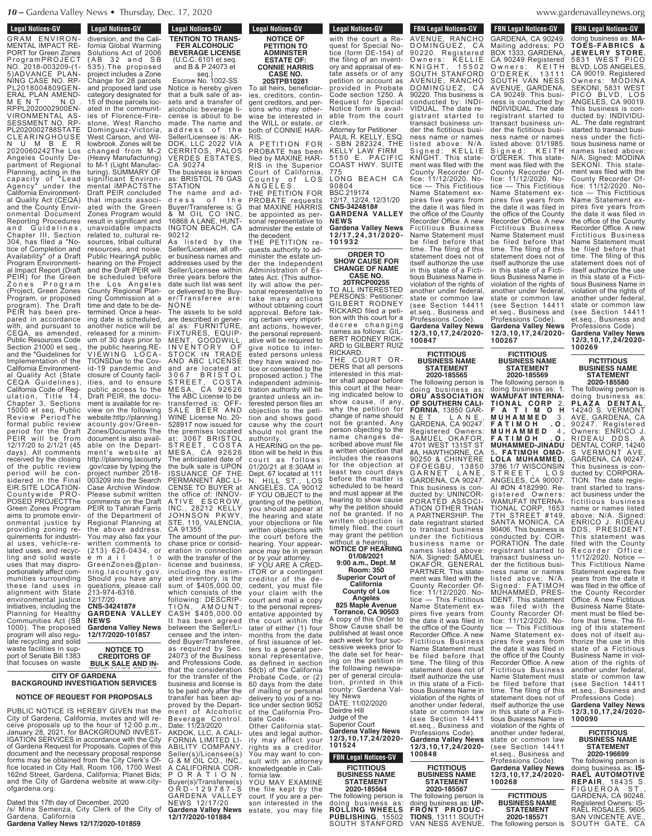time and date to be de-

ing date is scheduled, another notice will be released for a minimum of 30 days prior to the public hearing.RE-VIEWING LOCA-TIONSDue to the Covid-19 pandemic and closure of County facilities, and to ensure public access to the Draft PEIR, the document is available for review on the following website:http://planning.l acounty.gov/Green-Zones/Documents The document is also available on the Department's website at http://planning.lacounty .gov/case by typing the project number 2018- 003209 into the Search Case Archive Window. Please submit written comments on the Draft PEIR to Tahirah Farris of the Department of Regional Planning at the above address. You may also fax your written comments to

 $\frac{1}{2}$  can sub-complete  $\frac{1}{2}$ **Legal Notices-GV** Legal Nutles-GV GRAM ENVIRON-MENTAL IMPACT RE-PORT for Green Zones Program PROJECT NO. 2018-003209-(1- 5)ADVANCE PLAN-NING CASE NO. RP-PL2018004809GEN-ERAL PLAN AMEND-M E N T N O . RPPL2020002900EN-VIRONMENTAL AS-SESSMENT NO. RP-PL2020002788STATE CLEARINGHOUSE N U M B E R 2020060242The Los Angeles County Department of Regional Planning, acting in the capacity of "Lead Agency" under the California Environmental Quality Act (CEQA) and the County Environmental Document Reporting Procedures and Guidelines, Chapter III, Section 304, has filed a "Notice of Completion and Availability" of a Draft Program Environmental Impact Report (Draft PEIR) for the Green Zones Program (Project, Green Zones Program, or proposed program). The Draft PEIR has been prepared in accordance with, and pursuant to CEQA, as amended, Public Resources Code Section 21000 et seq., and the "Guidelines for Implementation of the California Environmental Quality Act (State CEQA Guidel ines), California Code of Regulation, Title 14, Chapter 3, Sections 15000 et seq. Public Review PeriodThe formal public review period for the Draft PEIR will be from 12/17/20 to 2/1/21 (45 days). All comments received by the closing of the public review period will be considered in the Final EIR.SITE LOCATION-Countywide PRO-POSED PROJECTThe Green Zones Program aims to promote environmental justice by providing zoning requirements for industrial uses, vehicle-related uses, and recycling and solid waste uses that may disproportionately affect communities surrounding these land uses in alignment with State environmental justice initiatives, including the

(213) 626-0434, or e mail to GreenZones@planning lacounty gov. Should you have any questions, please call 213-974-6316. 12/17/20 **CNS-3424187# GARDENA VALLEY NEWS Gardena Valley News 12/17/2020-101857 NOTICE TO CREDITORS OF** Planning for Healthy Communities Act (SB 1000). The proposed program will also regu-

**BULK SALE AND IN-TENTION TO TRANS**late recycling and solid waste facilities in support of Senate Bill 1383 that focuses on waste diversion, and the California control to the California control to the California control to the California co

#### **CITY OF GARDENA BACKGROUND INVESTIGATION SERVICES FER ALCOHOLIC IGATION SERVICES** for **GITY OF BACKGROUND INVE**

**NOTICE OF REQUEST FOR PROPOSALS OR PROPOSALS NOTICE OF REQUE** 

PUBLIC NOTICE IS HEREBY GIVEN that the City of Gardena, California, invites and will receive proposals up to the hour of 12:00 p.m., January 28, 2021, for BACKGROUND INVEST-January 28, 2021, for BACKGROUND INVEST-<br>IGATION SERVICES in accordance with the City of Gardena Request for Proposals. Copies of this document and the necessary proposal response forms may be obtained from the City Clerk's Office located in City Hall, Room 106, 1700 West 162nd Street, Gardena, California; Planet Bids;<br>and the City of Gardena website at www.cityofgardena.org.  $E$ BY GIVEN that the  $n =$ na, invites and will re- $\frac{1}{2}$  hour of 12:00 p.m., ccordance with the City sary proposal response om the City Clerk's Of- $\sum_{k=1}^{\infty}$  TOC, 1700, West and the City of Gardena website at www.city-PUBLIC NOTICE IS F City of Gardena, Califo ceive proposals up to January 28, 2021, for I IGATION SERVICES in document and the nec $\epsilon$ forms may be obtained fice located in City Hal

Dated this 17th day of December, 2020 /s/ Mina Semenza, City Clerk of the City of Gardena, California Gardena Valley News 12/17/2020-101859  $\text{cember, } 2020$  $\gamma$  Clerk of the City of  $\overline{\mathbf{S}}$ Dated this 17th day of D /s/ Mina Semenza, C Gardena, California

**Legal Notices-GV CREDITORS OF BULK BULK BULK IN TENTION TO TRANS-FER ALCOHOLIC BEVERAGE LICENSE** (U.C.C. 6101 et seq. and B & P 24073 et seq.) Escrow No. 1002-SS Notice is hereby given that a bulk sale of as-**Legal Notices-GV Legal Nutries-GV** diversion, and the California Global Warming Solutions Act of 2006  $(AB 32 and SB$ 535).The proposed project includes a Zone Change for 28 parcels and proposed land use category designated for 15 of those parcels loc-

sets and a transfer of alcoholic beverage license is about to be made. The name and address of the Seller/Licensee is: AK-DOK, LLC 2022 VIA CERRITOS, PALOS VERDES ESTATES, CA 90274 The business is known as: BRISTOL 76 GAS **STATION** ated in the communities of Florence-Firestone, West Rancho Dominguez-Victoria, West Carson, and Willowbrook. Zones will be changed from M-2 (Heavy Manufacturing) to M-1 (Light Manufacturing). SUMMARY OF turing). SUMMARY OF<br>significant Environmental iMPACTSThe

The name and address of the Buyer/Transferee is: G & M OIL CO INC, 16868 A LANE, HUNT-INGTON BEACH, CA 90212 As listed by the Draft PEIR concluded that impacts associated with the Green Zones Program would result in significant and unavoidable impacts related to, cultural resources, tribal cultural

Seller/Licensee, all other business names and addresses used by the Seller/Licensee within three years before the date such list was sent or delivered to the Buyer/Transferee are: NONE The assets to be sold resources, and noise. Public HearingA public hearing on the Project and the Draft PEIR will be scheduled before the Los Angeles County Regional Planning Commission at a termined. Once a hear-

are described in general as: FURNITURE, FIXTURES, EQUIP-MENT, GOODWILL, INVENTORY OF STOCK IN TRADE AND ABC LICENSE and are located at: 3 0 6 7 B R I S T O L STREET, COSTA MESA, CA 92626 The ABC License to be transferred is: OFF-SALE BEER AND WINE License No. 20- 528917 now issued for the premises located at: 3067 BRISTOL STREET, COSTA MESA, CA 92626 The anticipated date of the bulk sale is UPON ISSUANCE OF THE PERMANENT ABC LI-CENSE TO BUYER at the office of: INNOV-ATIVE ESCROW, INC., 28212 KELLY JOHNSON PKWY, STE. 110, VALENCIA, CA 91355 The amount of the purchase price or consideration in connection with the transfer of the license and business,

including the estimated inventory, is the sum of \$405,000.00, which consists of the following: DESCRIP-TION, AMOUNT: CASH \$405,000.00 It has been agreed between the Seller/Licensee and the intended Buyer/Transferee, as required by Sec. 24073 of the Business and Professions Code,

business and license is to be paid only after the transfer has been approved by the Department of Alcoholic Beverage Control.<br>Date:11/23/2020 AKDOK, LLC, A CALI-FORNIA LIMITED LI-ABILITY COMPANY, Seller(s)/Licensee(s) G & M OIL CO., INC., A CALIFORNIA COR-<sup>P</sup> <sup>O</sup> <sup>R</sup> <sup>A</sup> <sup>T</sup> <sup>I</sup> <sup>O</sup> <sup>N</sup> , Buyer(s)/Transferee(s) O R D - 1 2 9 7 8 7 - S GARDENA VALLEY NEWS 12/17/20 **Gardena Valley News 12/17/2020-101884**

that the consideration for the transfer of the

**Legal Notices-GV NOTICE OF PETITION TO ADMINISTER ESTATE OF: CONNIE HARRIS CASE NO. 20STPB10281**

Attorney for Petitioner To all heirs, beneficiaries, creditors, contingent creditors, and persons who may otherwise be interested in the WILL or estate, or both of CONNIE HAR-RIS. .<br>PFTITION FOR PROBATE has been filed by MAXINE HAR-RIS in the Superior Court of California, County of LOS A N G E L E S .

THE PETITION FOR PROBATE requests that MAXINE HARRIS be appointed as personal representative to administer the estate of the decedent.

THE PETITION requests authority to administer the estate under the Independent Administration of Estates Act. (This authority will allow the personal representative to take many actions without obtaining court approval. Before taking certain very important actions, however, the personal representative will be required to give notice to interested persons unless they have waived notice or consented to the proposed action.) The independent administration authority will be granted unless an interested person files an objection to the petition and shows good cause why the court should not grant the

authority. A HEARING on the petition will be held in this court as follows: 01/20/21 at 8:30AM in Dept. 67 located at 111 N. HILL ST., LOS ANGELES, CA 90012 IF YOU OBJECT to the granting of the petition, you should appear at the hearing and state your objections or file  $\omega$ vritten  $\dot{\rm}$ obiections with the court before the hearing. Your appearance may be in person or by your attorney. IF YOU ARE A CRED-ITOR or a contingent creditor of the decreditor of the de-<br>cedent, you must file your claim with the court and mail a copy to the personal repres entative appointed by the court within the later of either (1) four months from the date of first issuance of letters to a general personal representative, as defined in section 58(b) of the California Probate Code, or (2) 60 days from the date of mailing or personal delivery to you of a notice under section 9052 of the California Probate Code. Other California stat-

utes and legal authority may affect your rights as a creditor. You may want to consult with an attorney knowledgeable in California law.

YOU MAY EXAMINE the file kept by the court. If you are a person interested in the<br>estate, you may file with the court a Re-

**Legal Notices-GV** Legal Nutries-GV with the court a Re-<br>quest for Special Notice (form DE-154) of the filing of an inventory and appraisal of estate assets or of any petition or account as provided in Probate Code section 1250. A Request for Special Notice form is available from the court clerk.

PAUL R. KELLY, ESQ.<br>- SBN 282324, THE - SBN 282324, THE KELLY LAW FIRM 5150 E. PACIFIC COAST HWY. SUITE 775 LONG BEACH CA

90804 BSC 219174

12/17, 12/24, 12/31/20 **CNS-3424818# GARDENA VALLEY NEWS Gardena Valley News 1 2 / 1 7 , 2 4 , 31 / 2 0 2 0 -**

**1 0 1 9 3 2 ORDER TO SHOW CAUSE FOR CHANGE OF NAME CASE NO.**

**20TRCP00255** TO ALL INTERESTED PERSONS: Petitioner: GILBERT RODNEY RICKARD filed a petition with this court for a

decree changing names as follows: GIL-BERT RODNEY RICK-

ARD to GILBERT RUIZ RICKARD.<br>THE CC COURT OR-DERS that all persons interested in this matter shall appear before this court at the hearing indicated below to show cause, if any, why the petition for change of name should not be granted. Any person objecting to the name changes de-scribed above must file a written objection that includes the reasons for the objection at least two court days before the matter scheduled to be heard and must appear at the hearing to show cause why the petition should not be granted. If no written objection is timely filed, the court may grant the petition

without a hearing. **NOTICE OF HEARING 01/08/2021**

**9:00 a.m., Dept. M Room: 350 Superior Court of**

**California County of Los Angeles**

**825 Maple Avenue Torrance, CA 90503**

A copy of this Order to Show Cause shall be published at least once each week for four successive weeks prior to the date set for hearing on the petition in the following newspaper of general circulation, printed in this county: Gardena Val-<br>ley News ley News DATE: 11/02/2020 Deirdre Hill Judge of the Superior Court **Gardena Valley News 12/3,10,17,24/2020-**

**FBN Legal Notices-GV FICTITIOUS**

**101524**

**BUSINESS NAME STATEMENT 2020-185564**

SOUTH STANFORD VAN NESS AVENUE, The following person is doing business as: **ROLLING WHEELS PUBLISHING**, 15502

O'D FR F K **100267 FICTITIOUS** AVENUE, RANCHO DOMINGUEZ, CA 90220. Registered Owners: KELLIE SOUTH STANFORD AVENUE, RANCHO DOMINGUEZ, CA 90220. This business is conducted by: INDI-VIDUAL. The date registrant started to transact business under the fictitious business name or names listed above: N/A. Signed: KELLIE KNIGHT. This statement was filed with the County Recorder Office: 11/12/2020. Notice — This Fictitious Name Statement expires five years from the date it was filed in the office of the County Recorder Office. A new Fictitious Business Name Statement must be filed before that time. The filing of this statement does not of itself authorize the use in this state of a Fictitious Business Name in violation of the rights of another under federal, state or common law (see Section 14411 et.seq., Business and Professions Code). **Gardena Valley News 12/3,10,17,24/2020-**

**FBN Legal Notices-GV SUBANDING STANFORM** 

 $K$  N I G H T

### **FICTITIOUS BUSINESS NAME STATEMENT 2020-185565**

**100847**

The following person is doing business as: 1. **WAMUFAT INTERNA-TION A L COR P** 2 . **F A T I M O H M U H A M M E D** 3 . **F A T I M O H . O . M U H A M M E D** 4 **. F A T I M O H . O . MUHAMMED-JINADU** 5**. FATIMOH OMO-LOLA MUHAMMED**, 3786 1/7 WISCONSIN S T R E E T , L O S ANGELES, CA 90007. AI #ON 4182990. Reozyyu. Registered Owners:<br>WAMIJEAT ויי הא WAMUFAT INTERNA-TIONAL CORP, 1653 7TH STREET #149, SANTA MONICA, CA 90406. This business is conducted by: COR-PORATION. The date registrant started to transact business under the fictitious business name or names listed above: N/A. Signed: FATIMOH MUHAMMED, PRES-IDENT. This statement was filed with the County Recorder Office: 11/12/2020. Notice — This Fictitious Name Statement expires five years from the date it was filed in the office of the County Recorder Office. A new Fictitious Business Name Statement must be filed before that time. The filing of this statement does not of itself authorize the use in this state of a Fictitious Business Name in violation of the rights of another under federal, state or common law (see Section 14411 et.seq., Business and The following person is doing business as: **ORU ASSOCIATION OF SOUTHERN CALI-FORNIA**, 13850 GAR-N E T L A N E , GARDENA, CA 90247. Registered Owners: SAMUEL OKAFOR, 4701 WEST 131ST ST #A, HAWTHORNE, CA 90250 & CHINYERE OFOEGBU, 1 3 8 5 0 GARNET LANE, GARDENA, CA 90247. This business is conducted by: UNINCOR-PORATED ASSOCI-ATION OTHER THAN A PARTNERSHIP. The date registrant started to transact business under the fictitious business name or names listed above: N/A. Signed: SAMUEL OKAFOR, GENERAL PARTNER. This statement was filed with the County Recorder Office: 11/12/2020. Notice — This Fictitious Name Statement expires five years from the date it was filed in the office of the County Recorder Office. A new Fictitious Business Name Statement must be filed before that time. The filing of this statement does not of itself authorize the use in this state of a Fictitious Business Name in violation of the rights of another under federal, state or common law (see Section 14411 et.seq., Business and Professions Code). **Gardena Valley News 12/3,10,17,24/2020- 100848**

The following person is doing business as: **UP-F RON T P ROD U C - TIONS**, 13111 SOUTH

**100268**

doing business as: **MA-**

**Busines n**  $x^2 + y^2 = 0$  **C**  $x^2 + y^2 = 0$  **C**  $x^2 + y^2 = 0$  **C**  $x^2 + y^2 = 0$  **C**  $x^2 + y^2 = 0$  **C**  $x^2 + y^2 = 0$  **C**  $x^2 + y^2 = 0$  **C**  $x^2 + y^2 = 0$  **C**  $x^2 + y^2 = 0$  **C**  $x^2 + y^2 = 0$  **C**  $x^2 + y^2 = 0$  **C**  $x^2 + y^2 = 0$  **C**  $x^2 + y^2 = 0$  **C**

**FBN Legal Notices-GV 2020-185571**

**The Following Person is a following person in the following person in the following person is a following person in the following person in the following person is a following person in the following person in the followi** doing business as: **MA-TOES-FABRICS & JEWELRY STORE**, 5831 WEST PICO BLVD, LOS ANGELES CA 90019. Registered Owners: MODINA SEKONI, 5831 WEST PICO BLVD, ANGELES, CA 90019. This business is conducted by: INDIVIDU-AL. The date registrant started to transact business under the fictitious business name or names listed above: N/A. Signed: MODINA SEKONI. This statement was filed with the County Recorder Office: 11/12/2020. Notice — This Fictitious Name Statement expires five years from the date it was filed in the office of the County Recorder Office. A new Fictitious Business Name Statement must be filed before that time. The filing of this statement does not of itself authorize the use in this state of a Fictitious Business Name in violation of the rights of another under federal, state or common law (see Section 14411 et.seq., Business and Professions Code). **Gardena Valley News 12/3,10,17,24/2020- 100269 FON LEGAL NUTTLES-CIV** GARDENA, CA 90249. Mailing address: PO BOX 1333, GARDENA, CA 90249 Registered<br>Owners: KEITH Owners: ŘEITH<br>O'DFRFK 13111 SOUTH VAN NESS AVENUE, GARDENA, CA 90249. This business is conducted by: INDIVIDUAL. The date registrant started to transact business under the fictitious business name or names listed above: 01/1985. Signed: KEITH O'DEREK. This statement was filed with the County Recorder Office: 11/12/2020. Notice — This Fictitious Name Statement expires five years from the date it was filed in the office of the County Recorder Office. A new Fictitious Business Name Statement must be filed before that time. The filing of this statement does not of itself authorize the use in this state of a Fictitious Business Name in violation of the rights of another under federal, state or common law (see Section 14411 et.seq., Business and Professions Code). **Gardena Valley News 12/3,10,17,24/2020-**

**BUSINESS NAME STATEMENT 2020-185569**

**FBN Legal Notices-GV** 

**FICTITIOUS BUSINESS NAME STATEMENT 2020-185580**

The following person is doing business as: **P L A Z A D E N T A L** , 14240 S. VERMONT AVE, GARDENA, CA 90247. Registered Owners: ENRICO J. RID FAU DDS DENTAL CORP, 14240 **SERMONT AVE** GARDENA, CA 90247. This business is conducted by: CORPORA-TION. The date registrant started to transact business under the fictitious business name or names listed above: N/A. Signed ENRICO J. RIDEAU DDS, PRESIDENT. This statement was filed with the County Recorder Office 11/12/2020. Notice — This Fictitious Name Statement expires five years from the date it was filed in the office of the County Recorder Office. A new Fictitious Business Name State-ment must be filed before that time. The filing of this statement does not of itself authorize the use in this state of a Fictitious Business Name in violation of the rights of another under federal, state or common law (see Section 14411 et.seq., Business and Professions Code). **Gardena Valley News 12/3,10,17,24/2020- 100090**

# **FICTITIOUS BUSINESS NAME STATEMENT**

**2020-196699** The following person is doing business as: **IS-RAEL AUTOMOTIVE REPAIR**, 18435 S. FIGUEROA ST., GARDENA, CA 90248. Registered Owners: IS-RAEL ROSALES, 9605 SAN VINCENTE AVE. The following person is SOUTH GATE, CA

Professions Code). **Gardena Valley News 12/3,10,17,24/2020- FICTITIOUS BUSINESS NAME STATEMENT 2020-185571**